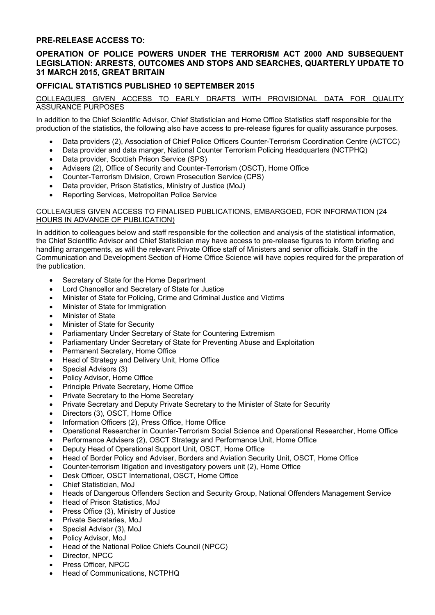### **PRE-RELEASE ACCESS TO:**

# **OPERATION OF POLICE POWERS UNDER THE TERRORISM ACT 2000 AND SUBSEQUENT LEGISLATION: ARRESTS, OUTCOMES AND STOPS AND SEARCHES, QUARTERLY UPDATE TO 31 MARCH 2015, GREAT BRITAIN**

## **OFFICIAL STATISTICS PUBLISHED 10 SEPTEMBER 2015**

### COLLEAGUES GIVEN ACCESS TO EARLY DRAFTS WITH PROVISIONAL DATA FOR QUALITY ASSURANCE PURPOSES

In addition to the Chief Scientific Advisor, Chief Statistician and Home Office Statistics staff responsible for the production of the statistics, the following also have access to pre-release figures for quality assurance purposes.

- Data providers (2), Association of Chief Police Officers Counter-Terrorism Coordination Centre (ACTCC)
- Data provider and data manger, National Counter Terrorism Policing Headquarters (NCTPHQ)
- Data provider, Scottish Prison Service (SPS)
- Advisers (2), Office of Security and Counter-Terrorism (OSCT), Home Office
- Counter-Terrorism Division, Crown Prosecution Service (CPS)
- Data provider, Prison Statistics, Ministry of Justice (MoJ)
- Reporting Services, Metropolitan Police Service

#### COLLEAGUES GIVEN ACCESS TO FINALISED PUBLICATIONS, EMBARGOED, FOR INFORMATION (24 HOURS IN ADVANCE OF PUBLICATION)

In addition to colleagues below and staff responsible for the collection and analysis of the statistical information, the Chief Scientific Advisor and Chief Statistician may have access to pre-release figures to inform briefing and handling arrangements, as will the relevant Private Office staff of Ministers and senior officials. Staff in the Communication and Development Section of Home Office Science will have copies required for the preparation of the publication.

- Secretary of State for the Home Department
- Lord Chancellor and Secretary of State for Justice
- Minister of State for Policing, Crime and Criminal Justice and Victims
- Minister of State for Immigration
- Minister of State
- Minister of State for Security
- Parliamentary Under Secretary of State for Countering Extremism
- Parliamentary Under Secretary of State for Preventing Abuse and Exploitation
- Permanent Secretary, Home Office
- Head of Strategy and Delivery Unit, Home Office
- Special Advisors (3)
- Policy Advisor, Home Office
- Principle Private Secretary, Home Office
- Private Secretary to the Home Secretary
- Private Secretary and Deputy Private Secretary to the Minister of State for Security
- Directors (3), OSCT, Home Office
- Information Officers (2), Press Office, Home Office
- Operational Researcher in Counter-Terrorism Social Science and Operational Researcher, Home Office
- Performance Advisers (2), OSCT Strategy and Performance Unit, Home Office
- Deputy Head of Operational Support Unit, OSCT, Home Office
- Head of Border Policy and Adviser, Borders and Aviation Security Unit, OSCT, Home Office
- Counter-terrorism litigation and investigatory powers unit (2), Home Office
- Desk Officer, OSCT International, OSCT, Home Office
- Chief Statistician, MoJ
- Heads of Dangerous Offenders Section and Security Group, National Offenders Management Service
- Head of Prison Statistics, MoJ
- Press Office (3), Ministry of Justice
- Private Secretaries, MoJ
- Special Advisor (3), MoJ
- Policy Advisor, MoJ
- Head of the National Police Chiefs Council (NPCC)
- Director, NPCC
- Press Officer, NPCC
- Head of Communications, NCTPHQ